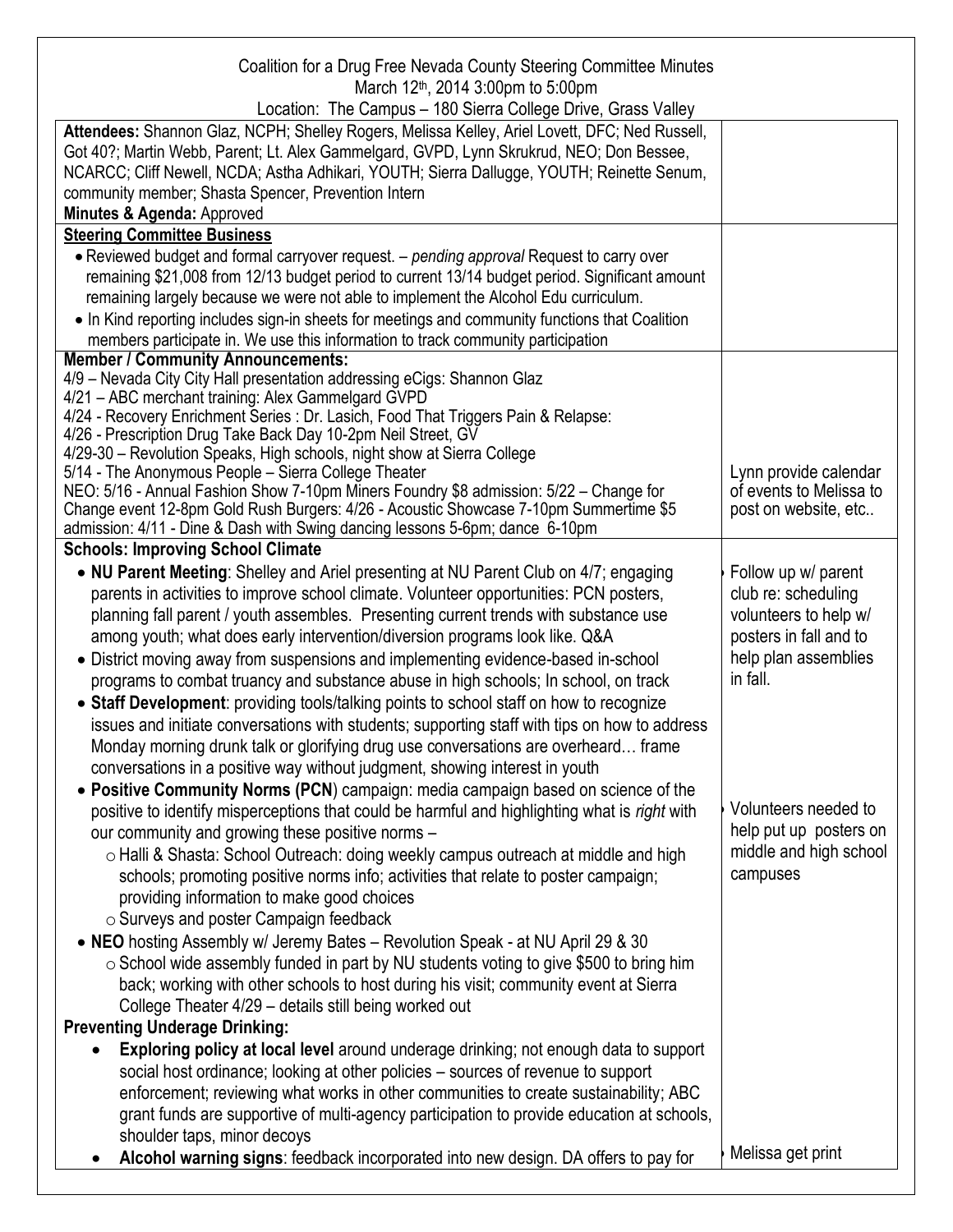| Coalition for a Drug Free Nevada County Steering Committee Minutes<br>March 12 <sup>th</sup> , 2014 3:00pm to 5:00pm                                                                       |                         |
|--------------------------------------------------------------------------------------------------------------------------------------------------------------------------------------------|-------------------------|
| Location: The Campus - 180 Sierra College Drive, Grass Valley                                                                                                                              |                         |
| Attendees: Shannon Glaz, NCPH; Shelley Rogers, Melissa Kelley, Ariel Lovett, DFC; Ned Russell,<br>Got 40?; Martin Webb, Parent; Lt. Alex Gammelgard, GVPD, Lynn Skrukrud, NEO; Don Bessee, |                         |
| NCARCC; Cliff Newell, NCDA; Astha Adhikari, YOUTH; Sierra Dallugge, YOUTH; Reinette Senum,<br>community member; Shasta Spencer, Prevention Intern                                          |                         |
| Minutes & Agenda: Approved                                                                                                                                                                 |                         |
| <b>Steering Committee Business</b>                                                                                                                                                         |                         |
| • Reviewed budget and formal carryover request. – pending approval Request to carry over                                                                                                   |                         |
| remaining \$21,008 from 12/13 budget period to current 13/14 budget period. Significant amount                                                                                             |                         |
| remaining largely because we were not able to implement the Alcohol Edu curriculum.                                                                                                        |                         |
| • In Kind reporting includes sign-in sheets for meetings and community functions that Coalition                                                                                            |                         |
| members participate in. We use this information to track community participation                                                                                                           |                         |
| <b>Member / Community Announcements:</b><br>4/9 - Nevada City City Hall presentation addressing eCigs: Shannon Glaz<br>4/21 - ABC merchant training: Alex Gammelgard GVPD                  |                         |
| 4/24 - Recovery Enrichment Series : Dr. Lasich, Food That Triggers Pain & Relapse:                                                                                                         |                         |
| 4/26 - Prescription Drug Take Back Day 10-2pm Neil Street, GV                                                                                                                              |                         |
| 4/29-30 – Revolution Speaks, High schools, night show at Sierra College                                                                                                                    |                         |
| 5/14 - The Anonymous People - Sierra College Theater                                                                                                                                       | Lynn provide calendar   |
| NEO: 5/16 - Annual Fashion Show 7-10pm Miners Foundry \$8 admission: 5/22 - Change for                                                                                                     | of events to Melissa to |
| Change event 12-8pm Gold Rush Burgers: 4/26 - Acoustic Showcase 7-10pm Summertime \$5                                                                                                      | post on website, etc    |
| admission: 4/11 - Dine & Dash with Swing dancing lessons 5-6pm; dance 6-10pm                                                                                                               |                         |
| <b>Schools: Improving School Climate</b>                                                                                                                                                   |                         |
| • NU Parent Meeting: Shelley and Ariel presenting at NU Parent Club on 4/7; engaging                                                                                                       | Follow up w/ parent     |
| parents in activities to improve school climate. Volunteer opportunities: PCN posters,                                                                                                     | club re: scheduling     |
| planning fall parent / youth assembles. Presenting current trends with substance use                                                                                                       | volunteers to help w/   |
| among youth; what does early intervention/diversion programs look like. Q&A                                                                                                                | posters in fall and to  |
| • District moving away from suspensions and implementing evidence-based in-school                                                                                                          | help plan assemblies    |
| programs to combat truancy and substance abuse in high schools; In school, on track                                                                                                        | in fall.                |
| • Staff Development: providing tools/talking points to school staff on how to recognize                                                                                                    |                         |
| issues and initiate conversations with students; supporting staff with tips on how to address                                                                                              |                         |
| Monday morning drunk talk or glorifying drug use conversations are overheard frame                                                                                                         |                         |
| conversations in a positive way without judgment, showing interest in youth                                                                                                                |                         |
| • Positive Community Norms (PCN) campaign: media campaign based on science of the                                                                                                          |                         |
| positive to identify misperceptions that could be harmful and highlighting what is right with                                                                                              | Volunteers needed to    |
| our community and growing these positive norms -                                                                                                                                           | help put up posters on  |
| o Halli & Shasta: School Outreach: doing weekly campus outreach at middle and high                                                                                                         | middle and high school  |
| schools; promoting positive norms info; activities that relate to poster campaign;                                                                                                         | campuses                |
| providing information to make good choices                                                                                                                                                 |                         |
| o Surveys and poster Campaign feedback                                                                                                                                                     |                         |
| • NEO hosting Assembly w/ Jeremy Bates - Revolution Speak - at NU April 29 & 30                                                                                                            |                         |
| $\circ$ School wide assembly funded in part by NU students voting to give \$500 to bring him                                                                                               |                         |
| back; working with other schools to host during his visit; community event at Sierra                                                                                                       |                         |
| College Theater 4/29 - details still being worked out                                                                                                                                      |                         |
| <b>Preventing Underage Drinking:</b>                                                                                                                                                       |                         |
| Exploring policy at local level around underage drinking; not enough data to support<br>$\bullet$                                                                                          |                         |
| social host ordinance; looking at other policies - sources of revenue to support                                                                                                           |                         |
| enforcement; reviewing what works in other communities to create sustainability; ABC                                                                                                       |                         |
| grant funds are supportive of multi-agency participation to provide education at schools,                                                                                                  |                         |
| shoulder taps, minor decoys                                                                                                                                                                |                         |
| Alcohol warning signs: feedback incorporated into new design. DA offers to pay for                                                                                                         | Melissa get print       |